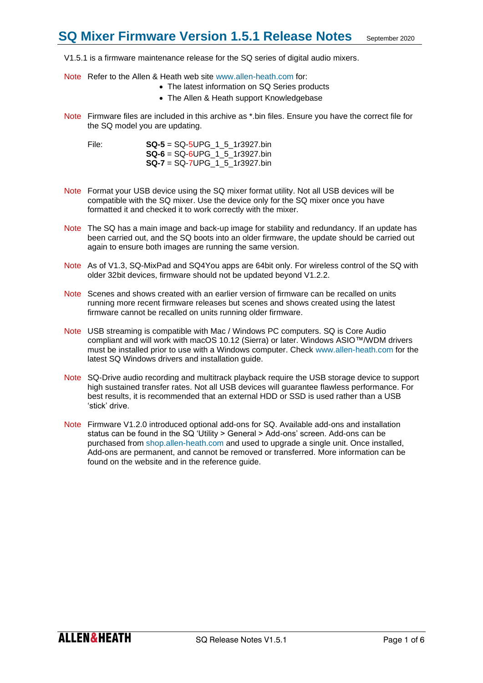V1.5.1 is a firmware maintenance release for the SQ series of digital audio mixers.

- Note Refer to the Allen & Heath web site [www.allen-heath.com](http://www.allen-heath.com/) for:
	- The latest information on SQ Series products
	- The Allen & Heath support Knowledgebase
- Note Firmware files are included in this archive as \*.bin files. Ensure you have the correct file for the SQ model you are updating.

File: **SQ-5** = SQ-5UPG\_1\_5\_1r3927.bin **SQ-6** = SQ-6UPG\_1\_5\_1r3927.bin **SQ-7** = SQ-7UPG\_1\_5\_1r3927.bin

- Note Format your USB device using the SQ mixer format utility. Not all USB devices will be compatible with the SQ mixer. Use the device only for the SQ mixer once you have formatted it and checked it to work correctly with the mixer.
- Note The SQ has a main image and back-up image for stability and redundancy. If an update has been carried out, and the SQ boots into an older firmware, the update should be carried out again to ensure both images are running the same version.
- Note As of V1.3, SQ-MixPad and SQ4You apps are 64bit only. For wireless control of the SQ with older 32bit devices, firmware should not be updated beyond V1.2.2.
- Note Scenes and shows created with an earlier version of firmware can be recalled on units running more recent firmware releases but scenes and shows created using the latest firmware cannot be recalled on units running older firmware.
- Note USB streaming is compatible with Mac / Windows PC computers. SQ is Core Audio compliant and will work with macOS 10.12 (Sierra) or later. Windows ASIO™/WDM drivers must be installed prior to use with a Windows computer. Check [www.allen-heath.com](http://www.allen-heath.com/) for the latest SQ Windows drivers and installation guide.
- Note SQ-Drive audio recording and multitrack playback require the USB storage device to support high sustained transfer rates. Not all USB devices will guarantee flawless performance. For best results, it is recommended that an external HDD or SSD is used rather than a USB 'stick' drive.
- Note Firmware V1.2.0 introduced optional add-ons for SQ. Available add-ons and installation status can be found in the SQ 'Utility > General > Add-ons' screen. Add-ons can be purchased from [shop.allen-heath.com](http://shop.allen-heath.com/) and used to upgrade a single unit. Once installed, Add-ons are permanent, and cannot be removed or transferred. More information can be found on the website and in the reference guide.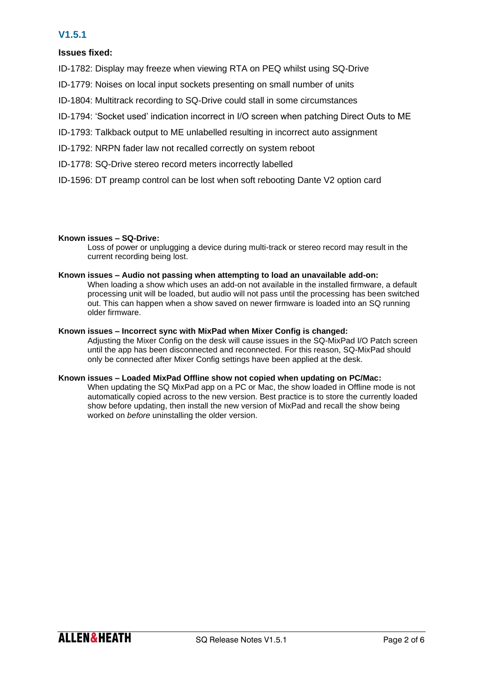# **V1.5.1**

## **Issues fixed:**

- ID-1782: Display may freeze when viewing RTA on PEQ whilst using SQ-Drive
- ID-1779: Noises on local input sockets presenting on small number of units
- ID-1804: Multitrack recording to SQ-Drive could stall in some circumstances
- ID-1794: 'Socket used' indication incorrect in I/O screen when patching Direct Outs to ME
- ID-1793: Talkback output to ME unlabelled resulting in incorrect auto assignment
- ID-1792: NRPN fader law not recalled correctly on system reboot
- ID-1778: SQ-Drive stereo record meters incorrectly labelled
- ID-1596: DT preamp control can be lost when soft rebooting Dante V2 option card

## **Known issues – SQ-Drive:**

Loss of power or unplugging a device during multi-track or stereo record may result in the current recording being lost.

## **Known issues – Audio not passing when attempting to load an unavailable add-on:**

When loading a show which uses an add-on not available in the installed firmware, a default processing unit will be loaded, but audio will not pass until the processing has been switched out. This can happen when a show saved on newer firmware is loaded into an SQ running older firmware.

## **Known issues – Incorrect sync with MixPad when Mixer Config is changed:**

Adjusting the Mixer Config on the desk will cause issues in the SQ-MixPad I/O Patch screen until the app has been disconnected and reconnected. For this reason, SQ-MixPad should only be connected after Mixer Config settings have been applied at the desk.

## **Known issues – Loaded MixPad Offline show not copied when updating on PC/Mac:**

When updating the SQ MixPad app on a PC or Mac, the show loaded in Offline mode is not automatically copied across to the new version. Best practice is to store the currently loaded show before updating, then install the new version of MixPad and recall the show being worked on *before* uninstalling the older version.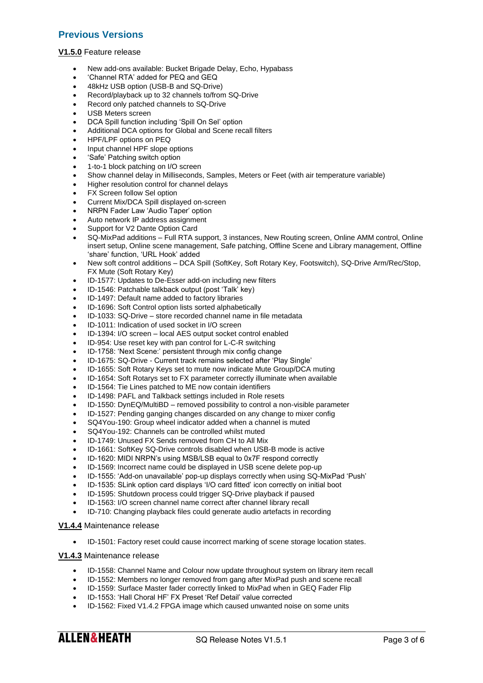# **Previous Versions**

#### **V1.5.0** Feature release

- New add-ons available: Bucket Brigade Delay, Echo, Hypabass
- 'Channel RTA' added for PEQ and GEQ
- 48kHz USB option (USB-B and SQ-Drive)
- Record/playback up to 32 channels to/from SQ-Drive
- Record only patched channels to SQ-Drive
- USB Meters screen
- DCA Spill function including 'Spill On Sel' option
- Additional DCA options for Global and Scene recall filters
- HPF/LPF options on PEQ
- Input channel HPF slope options
- 'Safe' Patching switch option
- 1-to-1 block patching on I/O screen
- Show channel delay in Milliseconds, Samples, Meters or Feet (with air temperature variable)
- Higher resolution control for channel delays
- **FX Screen follow Sel option**
- Current Mix/DCA Spill displayed on-screen
- NRPN Fader Law 'Audio Taper' option
- Auto network IP address assignment
- Support for V2 Dante Option Card
- SQ-MixPad additions Full RTA support, 3 instances, New Routing screen, Online AMM control, Online insert setup, Online scene management, Safe patching, Offline Scene and Library management, Offline 'share' function, 'URL Hook' added
- New soft control additions DCA Spill (SoftKey, Soft Rotary Key, Footswitch), SQ-Drive Arm/Rec/Stop, FX Mute (Soft Rotary Key)
- ID-1577: Updates to De-Esser add-on including new filters
- ID-1546: Patchable talkback output (post 'Talk' key)
- ID-1497: Default name added to factory libraries
- ID-1696: Soft Control option lists sorted alphabetically
- ID-1033: SQ-Drive store recorded channel name in file metadata
- ID-1011: Indication of used socket in I/O screen
- ID-1394: I/O screen local AES output socket control enabled
- ID-954: Use reset key with pan control for L-C-R switching
- ID-1758: 'Next Scene:' persistent through mix config change
- ID-1675: SQ-Drive Current track remains selected after 'Play Single'
- ID-1655: Soft Rotary Keys set to mute now indicate Mute Group/DCA muting
- ID-1654: Soft Rotarys set to FX parameter correctly illuminate when available
- ID-1564: Tie Lines patched to ME now contain identifiers
- ID-1498: PAFL and Talkback settings included in Role resets
- ID-1550: DynEQ/MultiBD removed possibility to control a non-visible parameter
- ID-1527: Pending ganging changes discarded on any change to mixer config
- SQ4You-190: Group wheel indicator added when a channel is muted
- SQ4You-192: Channels can be controlled whilst muted
- ID-1749: Unused FX Sends removed from CH to All Mix
- ID-1661: SoftKey SQ-Drive controls disabled when USB-B mode is active
- ID-1620: MIDI NRPN's using MSB/LSB equal to 0x7F respond correctly
- ID-1569: Incorrect name could be displayed in USB scene delete pop-up
- ID-1555: 'Add-on unavailable' pop-up displays correctly when using SQ-MixPad 'Push'
- ID-1535: SLink option card displays 'I/O card fitted' icon correctly on initial boot
- ID-1595: Shutdown process could trigger SQ-Drive playback if paused
- ID-1563: I/O screen channel name correct after channel library recall
- ID-710: Changing playback files could generate audio artefacts in recording

#### **V1.4.4** Maintenance release

• ID-1501: Factory reset could cause incorrect marking of scene storage location states.

#### **V1.4.3** Maintenance release

- ID-1558: Channel Name and Colour now update throughout system on library item recall
- ID-1552: Members no longer removed from gang after MixPad push and scene recall
- ID-1559: Surface Master fader correctly linked to MixPad when in GEQ Fader Flip
- ID-1553: 'Hall Choral HF' FX Preset 'Ref Detail' value corrected
- ID-1562: Fixed V1.4.2 FPGA image which caused unwanted noise on some units

**ALLEN&HEATH**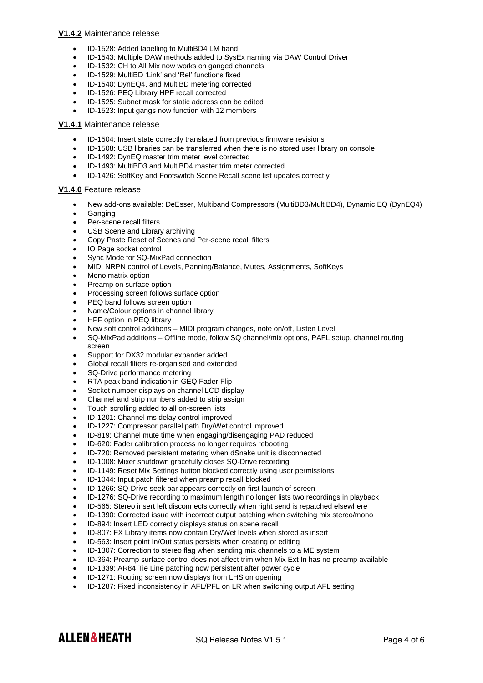### **V1.4.2** Maintenance release

- ID-1528: Added labelling to MultiBD4 LM band
- ID-1543: Multiple DAW methods added to SysEx naming via DAW Control Driver
- ID-1532: CH to All Mix now works on ganged channels
- ID-1529: MultiBD 'Link' and 'Rel' functions fixed
- ID-1540: DynEQ4, and MultiBD metering corrected
- ID-1526: PEQ Library HPF recall corrected
- ID-1525: Subnet mask for static address can be edited
- ID-1523: Input gangs now function with 12 members

#### **V1.4.1** Maintenance release

- ID-1504: Insert state correctly translated from previous firmware revisions
- ID-1508: USB libraries can be transferred when there is no stored user library on console
- ID-1492: DynEQ master trim meter level corrected
- ID-1493: MultiBD3 and MultiBD4 master trim meter corrected
- ID-1426: SoftKey and Footswitch Scene Recall scene list updates correctly

### **V1.4.0** Feature release

- New add-ons available: DeEsser, Multiband Compressors (MultiBD3/MultiBD4), Dynamic EQ (DynEQ4)
- Ganging
- Per-scene recall filters
- USB Scene and Library archiving
- Copy Paste Reset of Scenes and Per-scene recall filters
- IO Page socket control
- Sync Mode for SQ-MixPad connection
- MIDI NRPN control of Levels, Panning/Balance, Mutes, Assignments, SoftKeys
- Mono matrix option
- Preamp on surface option
- Processing screen follows surface option
- PEQ band follows screen option
- Name/Colour options in channel library
- HPF option in PEQ library
- New soft control additions MIDI program changes, note on/off, Listen Level
- SQ-MixPad additions Offline mode, follow SQ channel/mix options, PAFL setup, channel routing screen
- Support for DX32 modular expander added
- Global recall filters re-organised and extended
- SQ-Drive performance metering
- RTA peak band indication in GEQ Fader Flip
- Socket number displays on channel LCD display
- Channel and strip numbers added to strip assign
- Touch scrolling added to all on-screen lists
- ID-1201: Channel ms delay control improved
- ID-1227: Compressor parallel path Dry/Wet control improved
- ID-819: Channel mute time when engaging/disengaging PAD reduced
- ID-620: Fader calibration process no longer requires rebooting
- ID-720: Removed persistent metering when dSnake unit is disconnected
- ID-1008: Mixer shutdown gracefully closes SQ-Drive recording
- ID-1149: Reset Mix Settings button blocked correctly using user permissions
- ID-1044: Input patch filtered when preamp recall blocked
- ID-1266: SQ-Drive seek bar appears correctly on first launch of screen
- ID-1276: SQ-Drive recording to maximum length no longer lists two recordings in playback
- ID-565: Stereo insert left disconnects correctly when right send is repatched elsewhere
- ID-1390: Corrected issue with incorrect output patching when switching mix stereo/mono
- ID-894: Insert LED correctly displays status on scene recall
- ID-807: FX Library items now contain Dry/Wet levels when stored as insert
- ID-563: Insert point In/Out status persists when creating or editing
- ID-1307: Correction to stereo flag when sending mix channels to a ME system
- ID-364: Preamp surface control does not affect trim when Mix Ext In has no preamp available
- ID-1339: AR84 Tie Line patching now persistent after power cycle
- ID-1271: Routing screen now displays from LHS on opening
- ID-1287: Fixed inconsistency in AFL/PFL on LR when switching output AFL setting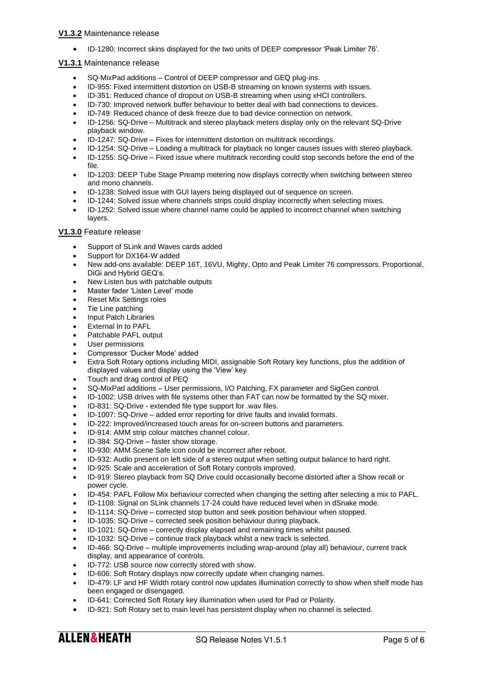• ID-1280: Incorrect skins displayed for the two units of DEEP compressor 'Peak Limiter 76'.

### **V1.3.1** Maintenance release

- SQ-MixPad additions Control of DEEP compressor and GEQ plug-ins.
- ID-955: Fixed intermittent distortion on USB-B streaming on known systems with issues.
- ID-351: Reduced chance of dropout on USB-B streaming when using xHCI controllers.
- ID-730: Improved network buffer behaviour to better deal with bad connections to devices.
- ID-749: Reduced chance of desk freeze due to bad device connection on network.
- ID-1256: SQ-Drive Multitrack and stereo playback meters display only on the relevant SQ-Drive playback window.
- ID-1247: SQ-Drive Fixes for intermittent distortion on multitrack recordings.
- ID-1254: SQ-Drive Loading a multitrack for playback no longer causes issues with stereo playback.
- ID-1255: SQ-Drive Fixed issue where multitrack recording could stop seconds before the end of the file.
- ID-1203: DEEP Tube Stage Preamp metering now displays correctly when switching between stereo and mono channels.
- ID-1238: Solved issue with GUI layers being displayed out of sequence on screen.
- ID-1244: Solved issue where channels strips could display incorrectly when selecting mixes.
- ID-1252: Solved issue where channel name could be applied to incorrect channel when switching layers.

### **V1.3.0** Feature release

- Support of SLink and Waves cards added
- Support for DX164-W added
- New add-ons available: DEEP 16T, 16VU, Mighty, Opto and Peak Limiter 76 compressors. Proportional, DiGi and Hybrid GEQ's.
- New Listen bus with patchable outputs
- Master fader 'Listen Level' mode
- Reset Mix Settings roles
- Tie Line patching
- Input Patch Libraries
- External In to PAFL
- Patchable PAFL output
- User permissions
- Compressor 'Ducker Mode' added
- Extra Soft Rotary options including MIDI, assignable Soft Rotary key functions, plus the addition of displayed values and display using the 'View' key
- Touch and drag control of PEQ
- SQ-MixPad additions User permissions, I/O Patching, FX parameter and SigGen control.
- ID-1002: USB drives with file systems other than FAT can now be formatted by the SQ mixer.
- ID-831: SQ-Drive extended file type support for .wav files.
- ID-1007: SQ-Drive added error reporting for drive faults and invalid formats.
- ID-222: Improved/increased touch areas for on-screen buttons and parameters.
- ID-914: AMM strip colour matches channel colour.
- ID-384: SQ-Drive faster show storage.
- ID-930: AMM Scene Safe icon could be incorrect after reboot.
- ID-932: Audio present on left side of a stereo output when setting output balance to hard right.
- ID-925: Scale and acceleration of Soft Rotary controls improved.
- ID-919: Stereo playback from SQ Drive could occasionally become distorted after a Show recall or power cycle.
- ID-454: PAFL Follow Mix behaviour corrected when changing the setting after selecting a mix to PAFL.
- ID-1108: Signal on SLink channels 17-24 could have reduced level when in dSnake mode.
- ID-1114: SQ-Drive corrected stop button and seek position behaviour when stopped.
- ID-1035: SQ-Drive corrected seek position behaviour during playback.
- ID-1021: SQ-Drive correctly display elapsed and remaining times whilst paused.
- ID-1032: SQ-Drive continue track playback whilst a new track is selected.
- ID-466: SQ-Drive multiple improvements including wrap-around (play all) behaviour, current track display, and appearance of controls.
- ID-772: USB source now correctly stored with show.
- ID-606: Soft Rotary displays now correctly update when changing names.
- ID-479: LF and HF Width rotary control now updates illumination correctly to show when shelf mode has been engaged or disengaged.
- ID-641: Corrected Soft Rotary key illumination when used for Pad or Polarity.
- ID-921: Soft Rotary set to main level has persistent display when no channel is selected.